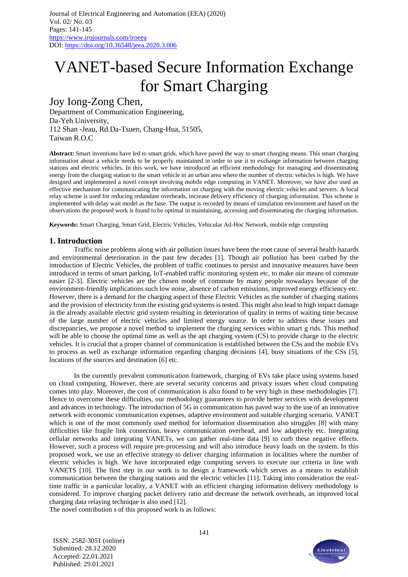# VANET-based Secure Information Exchange for Smart Charging

## Joy Iong-Zong Chen,

Department of Communication Engineering, Da-Yeh University, 112 Shan -Jeau, Rd.Da-Tsuen, Chang-Hua, 51505, Taiwan R.O.C

**Abstract:** Smart inventions have led to smart grids, which have paved the way to smart charging means. This smart charging information about a vehicle needs to be properly maintained in order to use it to exchange information between charging stations and electric vehicles. In this work, we have introduced an efficient methodology for managing and disseminating energy from the charging station to the smart vehicle in an urban area where the number of electric vehicles is high. We have designed and implemented a novel concept involving mobile edge computing in VANET. Moreover, we have also used an effective mechanism for communicating the information on charging with the moving electric vehicles and servers. A local relay scheme is used for reducing redundant overheads, increase delivery efficiency of charging information. This scheme is implemented with delay wait model as the base. The output is recorded by means of simulation environment and based on the observations the proposed work is found to be optimal in maintaining, accessing and disseminating the charging information.

**Keywords:** Smart Charging, Smart Grid, Electric Vehicles, Vehicular Ad-Hoc Network, mobile edge computing

#### **1. Introduction**

Traffic noise problems along with air pollution issues have been the root cause of several health hazards and environmental deterioration in the past few decades [1]. Though air pollution has been curbed by the introduction of Electric Vehicles, the problem of traffic continues to persist and innovative measures have been introduced in terms of smart parking, IoT-enabled traffic monitoring system etc, to make our means of commute easier [2-3]. Electric vehicles are the chosen mode of commute by many people nowadays because of the environment-friendly implications such low noise, absence of carbon emissions, improved energy efficiency etc. However, there is a demand for the charging aspect of these Electric Vehicles as the number of charging stations and the provision of electricity from the existing grid systems is tested. This might also lead to high impact damage in the already available electric grid system resulting in deterioration of quality in terms of waiting time because of the large number of electric vehicles and limited energy source. In order to address these issues and discrepancies, we propose a novel method to implement the charging services within smart g rids. This method will be able to choose the optimal time as well as the apt charging system (CS) to provide charge to the electric vehicles. It is crucial that a proper channel of communication is established between the CSs and the mobile EVs to process as well as exchange information regarding charging decisions [4], busy situations of the CSs [5], locations of the sources and destination [6] etc.

In the currently prevalent communication framework, charging of EVs take place using systems based on cloud computing. However, there are several security concerns and privacy issues when cloud computing comes into play. Moreover, the cost of communication is also found to be very high in these methodologies [7]. Hence to overcome these difficulties, our methodology guarantees to provide better services with development and advances in technology. The introduction of 5G in communication has paved way to the use of an innovative network with economic communication expenses, adaptive environment and suitable charging scenario. VANET which is one of the most commonly used method for information dissemination also struggles [8] with many difficulties like fragile link connection, heavy communication overhead, and low adaptively etc. Integrating cellular networks and integrating VANETs, we can gather real-time data [9] to curb these negative effects. However, such a process will require pre-processing and will also introduce heavy loads on the system. In this proposed work, we use an effective strategy to deliver charging information in localities where the number of electric vehicles is high. We have incorporated edge computing servers to execute our criteria in line with VANETS [10]. The first step in our work is to design a framework which serves as a means to establish communication between the charging stations and the electric vehicles [11]. Taking into consideration the realtime traffic in a particular locality, a VANET with an efficient charging information delivery methodology is considered. To improve charging packet delivery ratio and decrease the network overheads, an improved local charging data relaying technique is also used [12].

The novel contribution s of this proposed work is as follows:

ISSN: 2582-3051 (online) Submitted: 28.12.2020 Accepted: 22.01.2021 Published: 29.01.2021

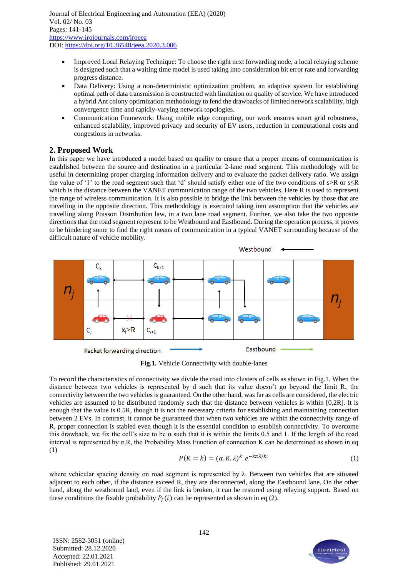- Improved Local Relaying Technique: To choose the right next forwarding node, a local relaying scheme is designed such that a waiting time model is used taking into consideration bit error rate and forwarding progress distance.
- Data Delivery: Using a non-deterministic optimization problem, an adaptive system for establishing optimal path of data transmission is constructed with limitation on quality of service. We have introduced a hybrid Ant colony optimization methodology to fend the drawbacks of limited network scalability, high convergence time and rapidly-varying network topologies.
- Communication Framework: Using mobile edge computing, our work ensures smart grid robustness, enhanced scalability, improved privacy and security of EV users, reduction in computational costs and congestions in networks.

## **2. Proposed Work**

In this paper we have introduced a model based on quality to ensure that a proper means of communication is established between the source and destination in a particular 2-lane road segment. This methodology will be useful in determining proper charging information delivery and to evaluate the packet delivery ratio. We assign the value of '1' to the road segment such that 'd' should satisfy either one of the two conditions of  $s > R$  or  $s \leq R$ which is the distance between the VANET communication range of the two vehicles. Here R is used to represent the range of wireless communication. It is also possible to bridge the link between the vehicles by those that are travelling in the opposite direction. This methodology is executed taking into assumption that the vehicles are travelling along Poisson Distribution law, in a two lane road segment. Further, we also take the two opposite directions that the road segment represent to be Westbound and Eastbound. During the operation process, it proves to be hindering some to find the right means of communication in a typical VANET surrounding because of the difficult nature of vehicle mobility.



**Fig.1.** Vehicle Connectivity with double-lanes

To record the characteristics of connectivity we divide the road into clusters of cells as shown in Fig.1. When the distance between two vehicles is represented by d such that its value doesn't go beyond the limit R, the connectivity between the two vehicles is guaranteed. On the other hand, was far as cells are considered, the electric vehicles are assumed to be distributed randomly such that the distance between vehicles is within [0,2R]. It is enough that the value is 0.5R, though it is not the necessary criteria for establishing and maintaining connection between 2 EVs. In contrast, it cannot be guaranteed that when two vehicles are within the connectivity range of R, proper connection is stabled even though it is the essential condition to establish connectivity. To overcome this drawback, we fix the cell's size to be  $\alpha$  such that it is within the limits 0.5 and 1. If the length of the road interval is represented by α.R, the Probability Mass Function of connection K can be determined as shown in eq (1)

$$
P(K = k) = (\alpha, R, \lambda)^k \cdot e^{-k\pi\lambda/k!}
$$
 (1)

where vehicular spacing density on road segment is represented by  $\lambda$ . Between two vehicles that are situated adjacent to each other, if the distance exceed R, they are disconnected, along the Eastbound lane. On the other hand, along the westbound land, even if the link is broken, it can be restored using relaying support. Based on these conditions the fixable probability  $P_f(i)$  can be represented as shown in eq (2).

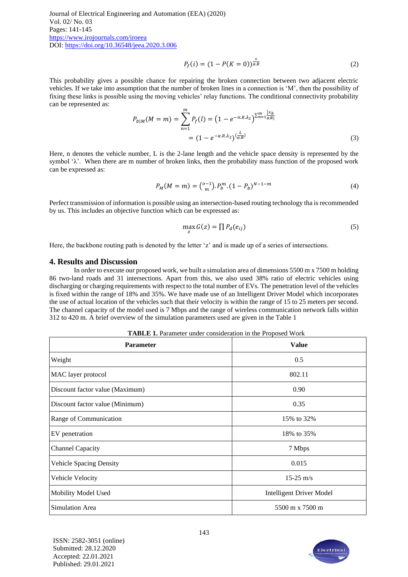$$
P_f(i) = (1 - P(K = 0))^{\frac{s}{\alpha R}}
$$
 (2)

This probability gives a possible chance for repairing the broken connection between two adjacent electric vehicles. If we take into assumption that the number of broken lines in a connection is 'M', then the possibility of fixing these links is possible using the moving vehicles' relay functions. The conditional connectivity probability can be represented as:

$$
P_{b|M}(M=m) = \sum_{n=1}^{m} P_f(l) = (1 - e^{-\alpha.R.\lambda_2})^{\sum_{n=1}^{m} \frac{|x_b|}{\alpha.R!}}
$$
  
=  $(1 - e^{-\alpha.R.\lambda_2})^{\frac{L}{\alpha.R}}$  (3)

Here, n denotes the vehicle number, L is the 2-lane length and the vehicle space density is represented by the symbol ' $\lambda$ '. When there are m number of broken links, then the probability mass function of the proposed work can be expressed as:

$$
P_M(M = m) = \binom{0-1}{m} P_b^m \cdot (1 - P_b)^{N-1-m} \tag{4}
$$

Perfect transmission of information is possible using an intersection-based routing technology tha is recommended by us. This includes an objective function which can be expressed as:

$$
\max_{z} G(z) = \prod P_d(e_{ij})
$$
\n(5)

Here, the backbone routing path is denoted by the letter 'z' and is made up of a series of intersections.

#### **4. Results and Discussion**

In order to execute our proposed work, we built a simulation area of dimensions 5500 m x 7500 m holding 86 two-land roads and 31 intersections. Apart from this, we also used 38% ratio of electric vehicles using discharging or charging requirements with respect to the total number of EVs. The penetration level of the vehicles is fixed within the range of 18% and 35%. We have made use of an Intelligent Driver Model which incorporates the use of actual location of the vehicles such that their velocity is within the range of 15 to 25 meters per second. The channel capacity of the model used is 7 Mbps and the range of wireless communication network falls within 312 to 420 m. A brief overview of the simulation parameters used are given in the Table 1

**TABLE 1.** Parameter under consideration in the Proposed Work

| <b>Parameter</b>                | <b>Value</b>                    |
|---------------------------------|---------------------------------|
| Weight                          | 0.5                             |
| MAC layer protocol              | 802.11                          |
| Discount factor value (Maximum) | 0.90                            |
| Discount factor value (Minimum) | 0.35                            |
| Range of Communication          | 15% to 32%                      |
| EV penetration                  | 18% to 35%                      |
| <b>Channel Capacity</b>         | 7 Mbps                          |
| <b>Vehicle Spacing Density</b>  | 0.015                           |
| Vehicle Velocity                | $15-25$ m/s                     |
| Mobility Model Used             | <b>Intelligent Driver Model</b> |
| Simulation Area                 | 5500 m x 7500 m                 |

ISSN: 2582-3051 (online) Submitted: 28.12.2020 Accepted: 22.01.2021 Published: 29.01.2021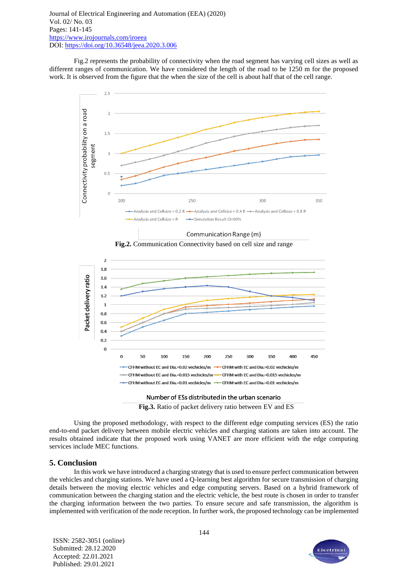Fig.2 represents the probability of connectivity when the road segment has varying cell sizes as well as different ranges of communication. We have considered the length of the road to be 1250 m for the proposed work. It is observed from the figure that the when the size of the cell is about half that of the cell range.











Using the proposed methodology, with respect to the different edge computing services (ES) the ratio end-to-end packet delivery between mobile electric vehicles and charging stations are taken into account. The results obtained indicate that the proposed work using VANET are more efficient with the edge computing services include MEC functions.

### **5. Conclusion**

In this work we have introduced a charging strategy that is used to ensure perfect communication between the vehicles and charging stations. We have used a Q-learning best algorithm for secure transmission of charging details between the moving electric vehicles and edge computing servers. Based on a hybrid framework of communication between the charging station and the electric vehicle, the best route is chosen in order to transfer the charging information between the two parties. To ensure secure and safe transmission, the algorithm is implemented with verification of the node reception. In further work, the proposed technology can be implemented

ISSN: 2582-3051 (online) Submitted: 28.12.2020 Accepted: 22.01.2021 Published: 29.01.2021